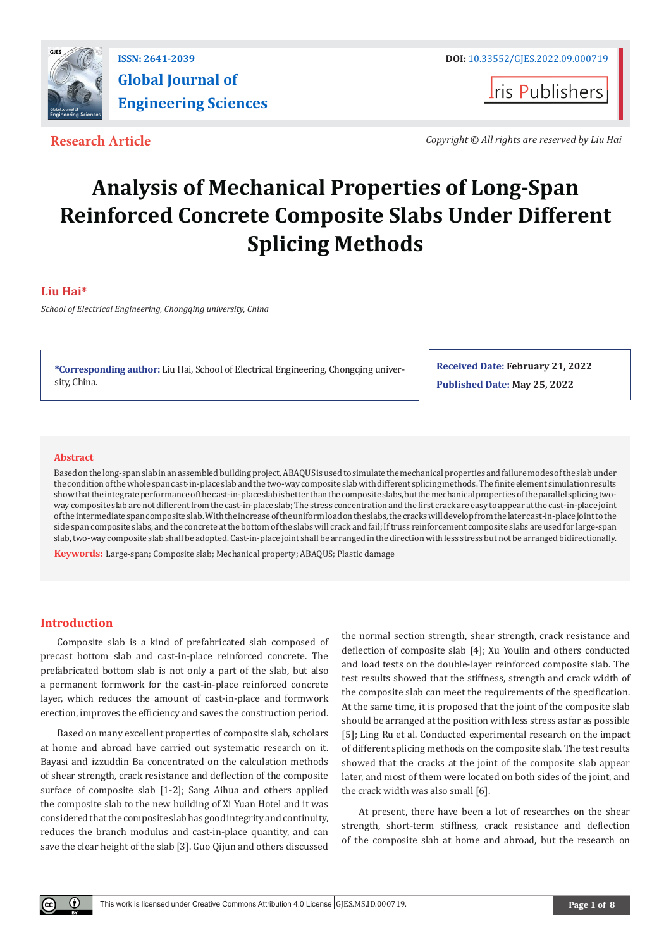

**I**ris Publishers

**Research Article** *Copyright © All rights are reserved by Liu Hai*

# **Analysis of Mechanical Properties of Long-Span Reinforced Concrete Composite Slabs Under Different Splicing Methods**

# **Liu Hai\***

*School of Electrical Engineering, Chongqing university, China*

**\*Corresponding author:** Liu Hai, School of Electrical Engineering, Chongqing university, China.

**Received Date: February 21, 2022 Published Date: May 25, 2022**

#### **Abstract**

Based on the long-span slab in an assembled building project, ABAQUS is used to simulate the mechanical properties and failure modes of the slab under the condition of the whole span cast-in-place slab and the two-way composite slab with different splicing methods. The finite element simulation results show that the integrate performance of the cast-in-place slab is better than the composite slabs, but the mechanical properties of the parallel splicing twoway composite slab are not different from the cast-in-place slab; The stress concentration and the first crack are easy to appear at the cast-in-place joint of the intermediate span composite slab. With the increase of the uniform load on the slabs, the cracks will develop from the later cast-in-place joint to the side span composite slabs, and the concrete at the bottom of the slabs will crack and fail; If truss reinforcement composite slabs are used for large-span slab, two-way composite slab shall be adopted. Cast-in-place joint shall be arranged in the direction with less stress but not be arranged bidirectionally.

**Keywords:** Large-span; Composite slab; Mechanical property; ABAQUS; Plastic damage

# **Introduction**

Œ

Composite slab is a kind of prefabricated slab composed of precast bottom slab and cast-in-place reinforced concrete. The prefabricated bottom slab is not only a part of the slab, but also a permanent formwork for the cast-in-place reinforced concrete layer, which reduces the amount of cast-in-place and formwork erection, improves the efficiency and saves the construction period.

Based on many excellent properties of composite slab, scholars at home and abroad have carried out systematic research on it. Bayasi and izzuddin Ba concentrated on the calculation methods of shear strength, crack resistance and deflection of the composite surface of composite slab [1-2]; Sang Aihua and others applied the composite slab to the new building of Xi Yuan Hotel and it was considered that the composite slab has good integrity and continuity, reduces the branch modulus and cast-in-place quantity, and can save the clear height of the slab [3]. Guo Qijun and others discussed

the normal section strength, shear strength, crack resistance and deflection of composite slab [4]; Xu Youlin and others conducted and load tests on the double-layer reinforced composite slab. The test results showed that the stiffness, strength and crack width of the composite slab can meet the requirements of the specification. At the same time, it is proposed that the joint of the composite slab should be arranged at the position with less stress as far as possible [5]; Ling Ru et al. Conducted experimental research on the impact of different splicing methods on the composite slab. The test results showed that the cracks at the joint of the composite slab appear later, and most of them were located on both sides of the joint, and the crack width was also small [6].

At present, there have been a lot of researches on the shear strength, short-term stiffness, crack resistance and deflection of the composite slab at home and abroad, but the research on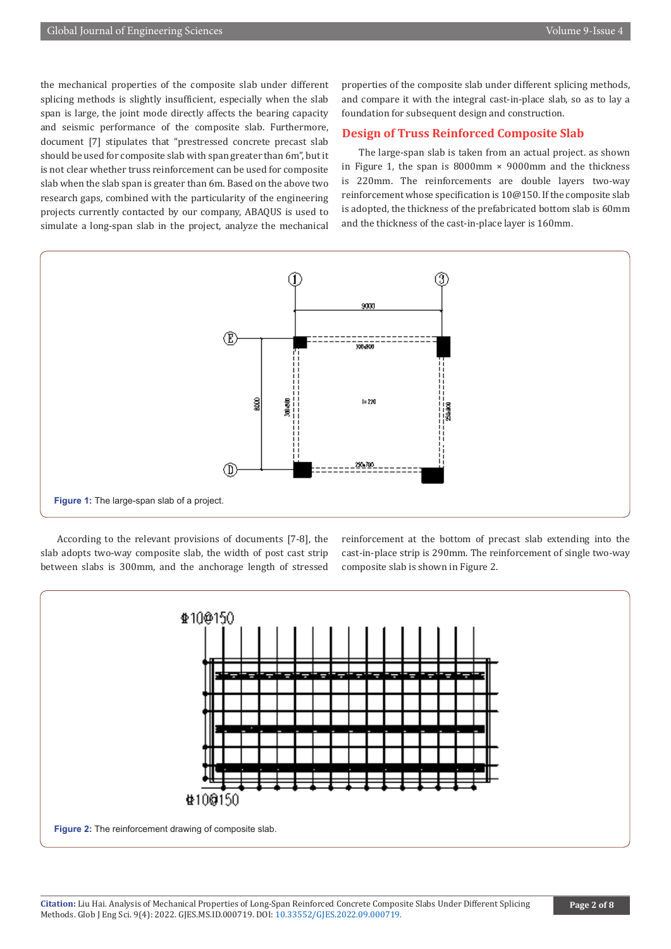the mechanical properties of the composite slab under different splicing methods is slightly insufficient, especially when the slab span is large, the joint mode directly affects the bearing capacity and seismic performance of the composite slab. Furthermore, document [7] stipulates that "prestressed concrete precast slab should be used for composite slab with span greater than 6m", but it is not clear whether truss reinforcement can be used for composite slab when the slab span is greater than 6m. Based on the above two research gaps, combined with the particularity of the engineering projects currently contacted by our company, ABAQUS is used to simulate a long-span slab in the project, analyze the mechanical

properties of the composite slab under different splicing methods, and compare it with the integral cast-in-place slab, so as to lay a foundation for subsequent design and construction.

### **Design of Truss Reinforced Composite Slab**

The large-span slab is taken from an actual project. as shown in Figure 1, the span is  $8000 \text{mm} \times 9000 \text{mm}$  and the thickness is 220mm. The reinforcements are double layers two-way reinforcement whose specification is 10@150. If the composite slab is adopted, the thickness of the prefabricated bottom slab is 60mm and the thickness of the cast-in-place layer is 160mm.



According to the relevant provisions of documents [7-8], the slab adopts two-way composite slab, the width of post cast strip between slabs is 300mm, and the anchorage length of stressed reinforcement at the bottom of precast slab extending into the cast-in-place strip is 290mm. The reinforcement of single two-way composite slab is shown in Figure 2.

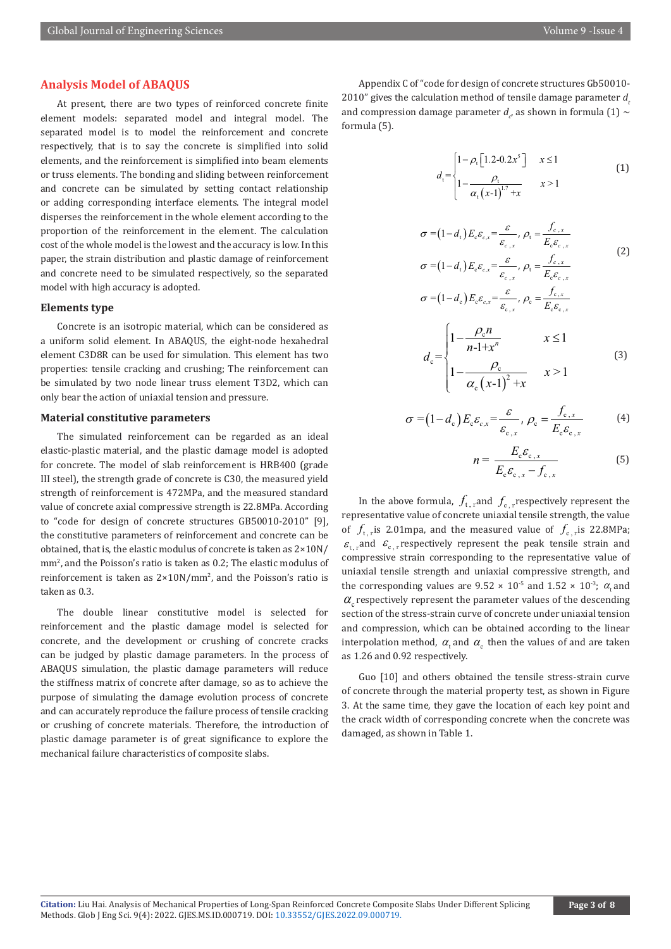#### **Analysis Model of ABAQUS**

At present, there are two types of reinforced concrete finite element models: separated model and integral model. The separated model is to model the reinforcement and concrete respectively, that is to say the concrete is simplified into solid elements, and the reinforcement is simplified into beam elements or truss elements. The bonding and sliding between reinforcement and concrete can be simulated by setting contact relationship or adding corresponding interface elements. The integral model disperses the reinforcement in the whole element according to the proportion of the reinforcement in the element. The calculation cost of the whole model is the lowest and the accuracy is low. In this paper, the strain distribution and plastic damage of reinforcement and concrete need to be simulated respectively, so the separated model with high accuracy is adopted.

#### **Elements type**

Concrete is an isotropic material, which can be considered as a uniform solid element. In ABAQUS, the eight-node hexahedral element C3D8R can be used for simulation. This element has two properties: tensile cracking and crushing; The reinforcement can be simulated by two node linear truss element T3D2, which can only bear the action of uniaxial tension and pressure.

#### **Material constitutive parameters**

The simulated reinforcement can be regarded as an ideal elastic-plastic material, and the plastic damage model is adopted for concrete. The model of slab reinforcement is HRB400 (grade III steel), the strength grade of concrete is C30, the measured yield strength of reinforcement is 472MPa, and the measured standard value of concrete axial compressive strength is 22.8MPa. According to "code for design of concrete structures GB50010-2010" [9], the constitutive parameters of reinforcement and concrete can be obtained, that is, the elastic modulus of concrete is taken as 2×10N/ mm<sup>2</sup>, and the Poisson's ratio is taken as 0.2; The elastic modulus of reinforcement is taken as  $2\times10N/mm^2$ , and the Poisson's ratio is taken as 0.3.

The double linear constitutive model is selected for reinforcement and the plastic damage model is selected for concrete, and the development or crushing of concrete cracks can be judged by plastic damage parameters. In the process of ABAQUS simulation, the plastic damage parameters will reduce the stiffness matrix of concrete after damage, so as to achieve the purpose of simulating the damage evolution process of concrete and can accurately reproduce the failure process of tensile cracking or crushing of concrete materials. Therefore, the introduction of plastic damage parameter is of great significance to explore the mechanical failure characteristics of composite slabs.

Appendix C of "code for design of concrete structures Gb50010- 2010" gives the calculation method of tensile damage parameter d and compression damage parameter  $d_e$ , as shown in formula (1)  $\sim$ formula (5).

$$
d_{t} = \begin{cases} 1 - \rho_{t} \left[ 1.2 - 0.2x^{5} \right] & x \le 1 \\ 1 - \frac{\rho_{t}}{\alpha_{t} \left( x - 1 \right)^{1.7} + x} & x > 1 \end{cases} \tag{1}
$$

$$
\sigma = (1 - d_{t}) E_{c} \varepsilon_{c,x} = \frac{\varepsilon}{\varepsilon_{c,x}}, \rho_{t} = \frac{f_{c,x}}{E_{c} \varepsilon_{c,x}}
$$
  

$$
\sigma = (1 - d_{t}) E_{c} \varepsilon_{c,x} = \frac{\varepsilon}{\varepsilon_{c,x}}, \rho_{t} = \frac{f_{c,x}}{E_{c} \varepsilon_{c,x}}
$$
(2)

$$
\sigma = (1 - d_c) E_c \varepsilon_{c,x} = \frac{\varepsilon}{\varepsilon_{c,x}}, \rho_c = \frac{f_{c,x}}{E_c \varepsilon_{c,x}}
$$

$$
d_c = \begin{cases} 1 - \frac{\rho_c n}{n - 1 + x^n} & x \le 1 \\ 1 - \frac{\rho_c}{\alpha_c (x - 1)^2 + x} & x > 1 \end{cases}
$$
(3)

$$
\sigma = (1 - d_{c}) E_{c} \varepsilon_{c,x} = \frac{\varepsilon}{\varepsilon_{c,x}}, \rho_{c} = \frac{f_{c,x}}{E_{c} \varepsilon_{c,x}} \tag{4}
$$

$$
n = \frac{E_{\rm c} \mathcal{E}_{\rm c,x}}{E_{\rm c} \mathcal{E}_{\rm c,x} - f_{\rm c,x}} \tag{5}
$$

In the above formula,  $f_{t,r}$  and  $f_{c,r}$  respectively represent the representative value of concrete uniaxial tensile strength, the value of  $f_{\text{r}}$  ris 2.01mpa, and the measured value of  $f_{\text{c}}$  ris 22.8MPa;  $\varepsilon_{\rm r}$  and  $\varepsilon_{\rm c}$  respectively represent the peak tensile strain and compressive strain corresponding to the representative value of uniaxial tensile strength and uniaxial compressive strength, and the corresponding values are  $9.52 \times 10^{-5}$  and  $1.52 \times 10^{-3}$ ;  $\alpha$  and  $\alpha$  respectively represent the parameter values of the descending section of the stress-strain curve of concrete under uniaxial tension and compression, which can be obtained according to the linear interpolation method,  $\alpha_{\rm t}$  and  $\alpha_{\rm c}$  then the values of and are taken as 1.26 and 0.92 respectively.

Guo [10] and others obtained the tensile stress-strain curve of concrete through the material property test, as shown in Figure 3. At the same time, they gave the location of each key point and the crack width of corresponding concrete when the concrete was damaged, as shown in Table 1.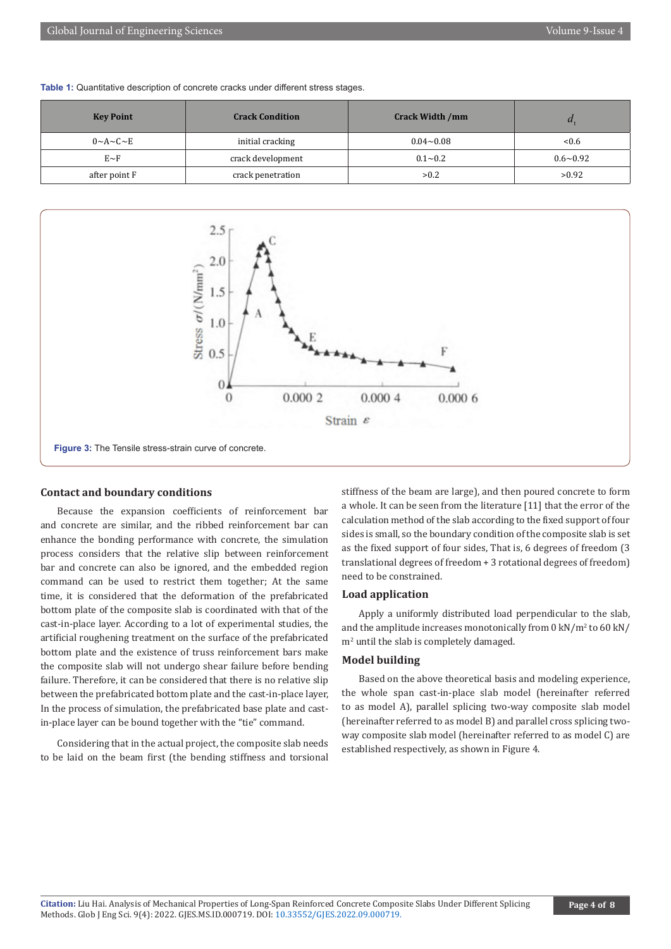| <b>Key Point</b>         | <b>Crack Condition</b> | <b>Crack Width /mm</b> |                 |
|--------------------------|------------------------|------------------------|-----------------|
| $0 \sim A \sim C \sim E$ | initial cracking       | $0.04 - 0.08$          | < 0.6           |
| $E \sim F$               | crack development      | $0.1 - 0.2$            | $0.6 \sim 0.92$ |
| after point F            | crack penetration      | >0.2                   | >0.92           |





#### **Contact and boundary conditions**

Because the expansion coefficients of reinforcement bar and concrete are similar, and the ribbed reinforcement bar can enhance the bonding performance with concrete, the simulation process considers that the relative slip between reinforcement bar and concrete can also be ignored, and the embedded region command can be used to restrict them together; At the same time, it is considered that the deformation of the prefabricated bottom plate of the composite slab is coordinated with that of the cast-in-place layer. According to a lot of experimental studies, the artificial roughening treatment on the surface of the prefabricated bottom plate and the existence of truss reinforcement bars make the composite slab will not undergo shear failure before bending failure. Therefore, it can be considered that there is no relative slip between the prefabricated bottom plate and the cast-in-place layer, In the process of simulation, the prefabricated base plate and castin-place layer can be bound together with the "tie" command.

Considering that in the actual project, the composite slab needs to be laid on the beam first (the bending stiffness and torsional stiffness of the beam are large), and then poured concrete to form a whole. It can be seen from the literature [11] that the error of the calculation method of the slab according to the fixed support of four sides is small, so the boundary condition of the composite slab is set as the fixed support of four sides, That is, 6 degrees of freedom (3 translational degrees of freedom + 3 rotational degrees of freedom) need to be constrained.

#### **Load application**

Apply a uniformly distributed load perpendicular to the slab, and the amplitude increases monotonically from 0 kN/m<sup>2</sup> to 60 kN/ m<sup>2</sup> until the slab is completely damaged.

#### **Model building**

Based on the above theoretical basis and modeling experience, the whole span cast-in-place slab model (hereinafter referred to as model A), parallel splicing two-way composite slab model (hereinafter referred to as model B) and parallel cross splicing twoway composite slab model (hereinafter referred to as model C) are established respectively, as shown in Figure 4.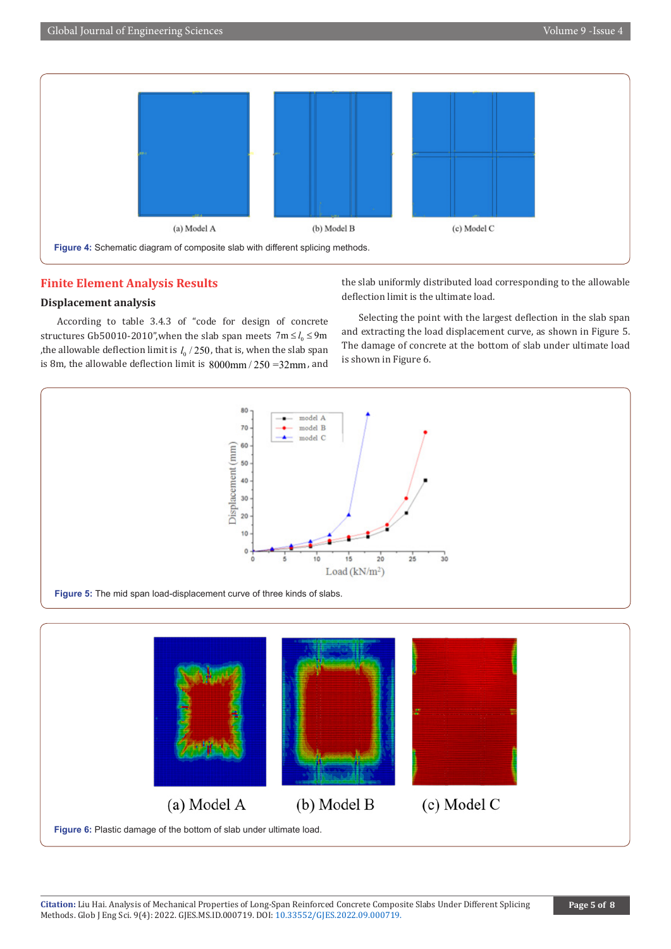

# **Finite Element Analysis Results**

# **Displacement analysis**

According to table 3.4.3 of "code for design of concrete structures Gb50010-2010", when the slab span meets  $7m \le l_0 \le 9m$ , the allowable deflection limit is  $l_0 / 250$ , that is, when the slab span is 8m, the allowable deflection limit is  $8000 \text{mm} / 250 = 32 \text{mm}$ , and the slab uniformly distributed load corresponding to the allowable deflection limit is the ultimate load.

Selecting the point with the largest deflection in the slab span and extracting the load displacement curve, as shown in Figure 5. The damage of concrete at the bottom of slab under ultimate load is shown in Figure 6.

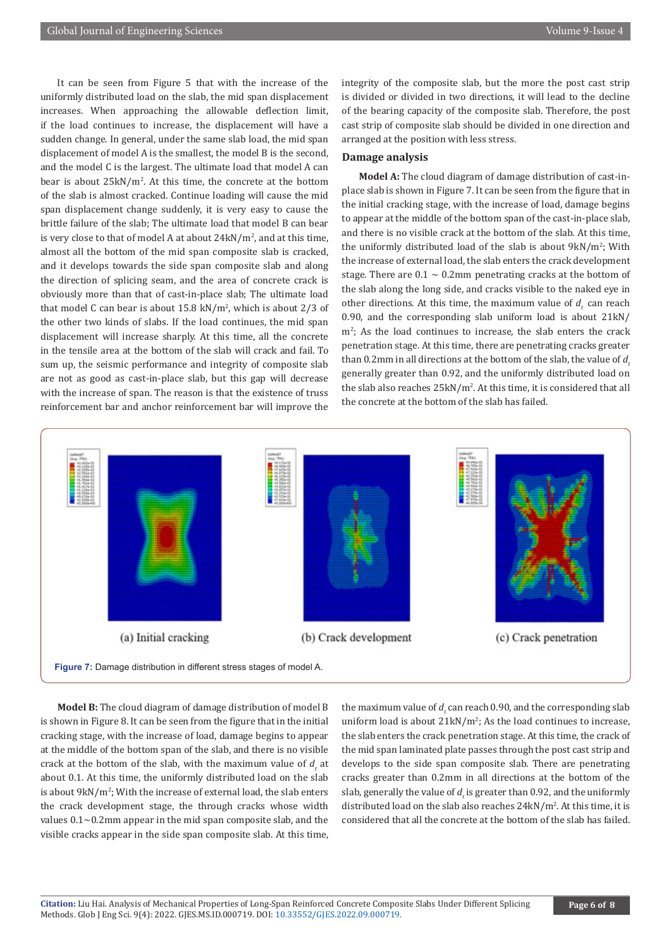It can be seen from Figure 5 that with the increase of the uniformly distributed load on the slab, the mid span displacement increases. When approaching the allowable deflection limit, if the load continues to increase, the displacement will have a sudden change. In general, under the same slab load, the mid span displacement of model A is the smallest, the model B is the second, and the model C is the largest. The ultimate load that model A can bear is about 25kN/m<sup>2</sup>. At this time, the concrete at the bottom of the slab is almost cracked. Continue loading will cause the mid span displacement change suddenly, it is very easy to cause the brittle failure of the slab; The ultimate load that model B can bear is very close to that of model  $A$  at about  $24kN/m^2$ , and at this time, almost all the bottom of the mid span composite slab is cracked, and it develops towards the side span composite slab and along the direction of splicing seam, and the area of concrete crack is obviously more than that of cast-in-place slab; The ultimate load that model C can bear is about 15.8 kN/m<sup>2</sup> , which is about 2/3 of the other two kinds of slabs. If the load continues, the mid span displacement will increase sharply. At this time, all the concrete in the tensile area at the bottom of the slab will crack and fail. To sum up, the seismic performance and integrity of composite slab are not as good as cast-in-place slab, but this gap will decrease with the increase of span. The reason is that the existence of truss reinforcement bar and anchor reinforcement bar will improve the

integrity of the composite slab, but the more the post cast strip is divided or divided in two directions, it will lead to the decline of the bearing capacity of the composite slab. Therefore, the post cast strip of composite slab should be divided in one direction and arranged at the position with less stress.

#### **Damage analysis**

**Model A:** The cloud diagram of damage distribution of cast-inplace slab is shown in Figure 7. It can be seen from the figure that in the initial cracking stage, with the increase of load, damage begins to appear at the middle of the bottom span of the cast-in-place slab, and there is no visible crack at the bottom of the slab. At this time, the uniformly distributed load of the slab is about 9kN/m<sup>2</sup>; With the increase of external load, the slab enters the crack development stage. There are  $0.1 \sim 0.2$ mm penetrating cracks at the bottom of the slab along the long side, and cracks visible to the naked eye in other directions. At this time, the maximum value of  $d<sub>r</sub>$  can reach 0.90, and the corresponding slab uniform load is about 21kN/  $m<sup>2</sup>$ ; As the load continues to increase, the slab enters the crack penetration stage. At this time, there are penetrating cracks greater than 0.2mm in all directions at the bottom of the slab, the value of d generally greater than 0.92, and the uniformly distributed load on the slab also reaches  $25kN/m^2$ . At this time, it is considered that all the concrete at the bottom of the slab has failed.



**Model B:** The cloud diagram of damage distribution of model B is shown in Figure 8. It can be seen from the figure that in the initial cracking stage, with the increase of load, damage begins to appear at the middle of the bottom span of the slab, and there is no visible crack at the bottom of the slab, with the maximum value of  $d_t$  at about 0.1. At this time, the uniformly distributed load on the slab is about  $9kN/m^2$ ; With the increase of external load, the slab enters the crack development stage, the through cracks whose width values 0.1~0.2mm appear in the mid span composite slab, and the visible cracks appear in the side span composite slab. At this time,

the maximum value of  $d_{t}$  can reach 0.90, and the corresponding slab uniform load is about  $21kN/m^2$ ; As the load continues to increase, the slab enters the crack penetration stage. At this time, the crack of the mid span laminated plate passes through the post cast strip and develops to the side span composite slab. There are penetrating cracks greater than 0.2mm in all directions at the bottom of the slab, generally the value of  $d_t$  is greater than 0.92, and the uniformly distributed load on the slab also reaches  $24kN/m<sup>2</sup>$ . At this time, it is considered that all the concrete at the bottom of the slab has failed.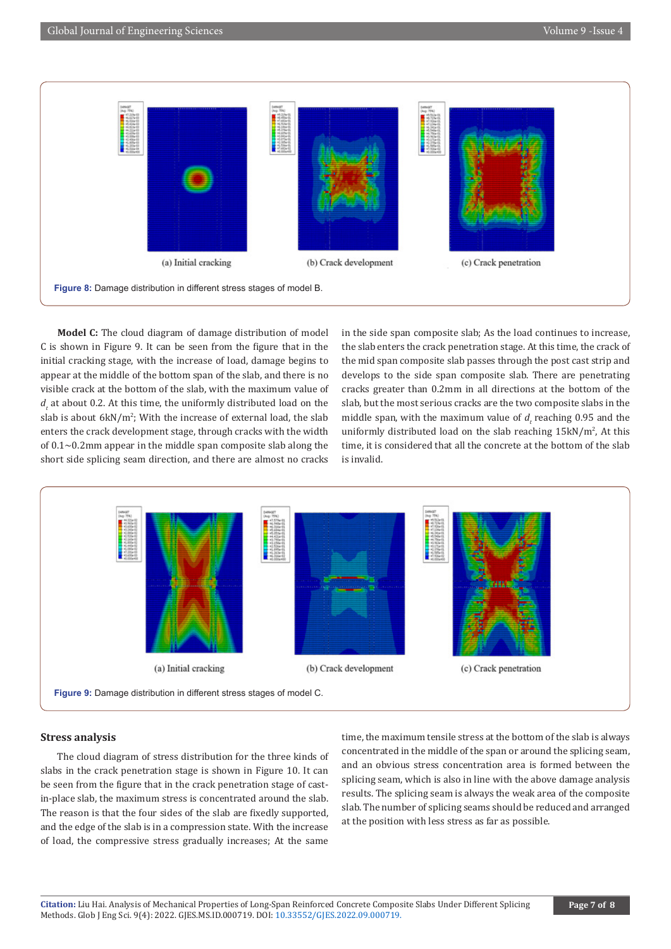

**Model C:** The cloud diagram of damage distribution of model C is shown in Figure 9. It can be seen from the figure that in the initial cracking stage, with the increase of load, damage begins to appear at the middle of the bottom span of the slab, and there is no visible crack at the bottom of the slab, with the maximum value of *d*, at about 0.2. At this time, the uniformly distributed load on the slab is about 6kN/m<sup>2</sup>; With the increase of external load, the slab enters the crack development stage, through cracks with the width of  $0.1$  $\sim$ 0.2mm appear in the middle span composite slab along the short side splicing seam direction, and there are almost no cracks

in the side span composite slab; As the load continues to increase, the slab enters the crack penetration stage. At this time, the crack of the mid span composite slab passes through the post cast strip and develops to the side span composite slab. There are penetrating cracks greater than 0.2mm in all directions at the bottom of the slab, but the most serious cracks are the two composite slabs in the middle span, with the maximum value of  $d$  reaching 0.95 and the uniformly distributed load on the slab reaching  $15 \text{kN/m}^2$ , At this time, it is considered that all the concrete at the bottom of the slab is invalid.



#### **Stress analysis**

The cloud diagram of stress distribution for the three kinds of slabs in the crack penetration stage is shown in Figure 10. It can be seen from the figure that in the crack penetration stage of castin-place slab, the maximum stress is concentrated around the slab. The reason is that the four sides of the slab are fixedly supported, and the edge of the slab is in a compression state. With the increase of load, the compressive stress gradually increases; At the same

time, the maximum tensile stress at the bottom of the slab is always concentrated in the middle of the span or around the splicing seam, and an obvious stress concentration area is formed between the splicing seam, which is also in line with the above damage analysis results. The splicing seam is always the weak area of the composite slab. The number of splicing seams should be reduced and arranged at the position with less stress as far as possible.